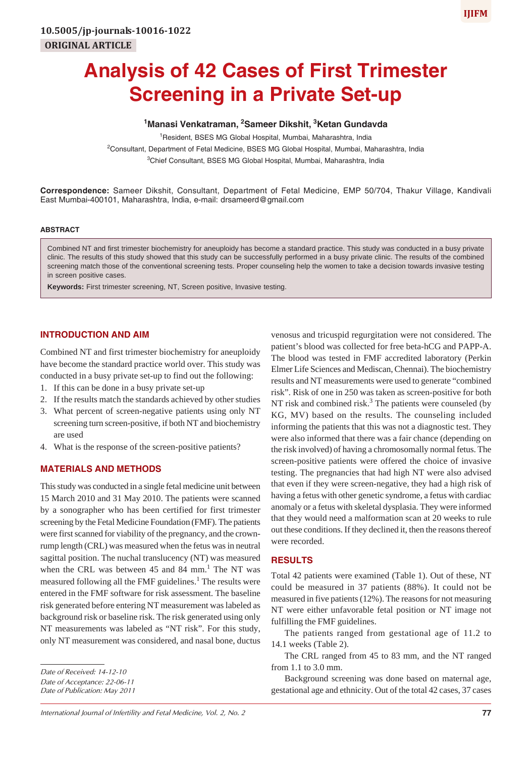# **Analysis of 42 Cases of First Trimester Screening in a Private Set-up**

# <sup>1</sup>Manasi Venkatraman, <sup>2</sup>Sameer Dikshit, <sup>3</sup>Ketan Gundavda

<sup>1</sup> Resident, BSES MG Global Hospital, Mumbai, Maharashtra, India

<sup>2</sup>Consultant, Department of Fetal Medicine, BSES MG Global Hospital, Mumbai, Maharashtra, India <sup>3</sup>Chief Consultant, BSES MG Global Hospital, Mumbai, Maharashtra, India

**Correspondence:** Sameer Dikshit, Consultant, Department of Fetal Medicine, EMP 50/704, Thakur Village, Kandivali East Mumbai-400101, Maharashtra, India, e-mail: drsameerd@gmail.com

## **ABSTRACT**

Combined NT and first trimester biochemistry for aneuploidy has become a standard practice. This study was conducted in a busy private clinic. The results of this study showed that this study can be successfully performed in a busy private clinic. The results of the combined screening match those of the conventional screening tests. Proper counseling help the women to take a decision towards invasive testing in screen positive cases.

**Keywords:** First trimester screening, NT, Screen positive, Invasive testing.

## **INTRODUCTION AND AIM**

Combined NT and first trimester biochemistry for aneuploidy have become the standard practice world over. This study was conducted in a busy private set-up to find out the following:

- 1. If this can be done in a busy private set-up
- 2. If the results match the standards achieved by other studies
- 3. What percent of screen-negative patients using only NT screening turn screen-positive, if both NT and biochemistry are used
- 4. What is the response of the screen-positive patients?

## **MATERIALS AND METHODS**

This study was conducted in a single fetal medicine unit between 15 March 2010 and 31 May 2010. The patients were scanned by a sonographer who has been certified for first trimester screening by the Fetal Medicine Foundation (FMF). The patients were first scanned for viability of the pregnancy, and the crownrump length (CRL) was measured when the fetus was in neutral sagittal position. The nuchal translucency (NT) was measured when the CRL was between  $45$  and  $84$  mm.<sup>1</sup> The NT was measured following all the FMF guidelines.<sup>1</sup> The results were entered in the FMF software for risk assessment. The baseline risk generated before entering NT measurement was labeled as background risk or baseline risk. The risk generated using only NT measurements was labeled as "NT risk". For this study, only NT measurement was considered, and nasal bone, ductus

*Date of Acceptance: 22-06-11*

*Date of Publication: May 2011*

*International Journal of Infertility and Fetal Medicine, Vol. 2, No. 2* **77**

venosus and tricuspid regurgitation were not considered. The patient's blood was collected for free beta-hCG and PAPP-A. The blood was tested in FMF accredited laboratory (Perkin Elmer Life Sciences and Mediscan, Chennai). The biochemistry results and NT measurements were used to generate "combined risk". Risk of one in 250 was taken as screen-positive for both NT risk and combined risk.<sup>3</sup> The patients were counseled (by KG, MV) based on the results. The counseling included informing the patients that this was not a diagnostic test. They were also informed that there was a fair chance (depending on the risk involved) of having a chromosomally normal fetus. The screen-positive patients were offered the choice of invasive testing. The pregnancies that had high NT were also advised that even if they were screen-negative, they had a high risk of having a fetus with other genetic syndrome, a fetus with cardiac anomaly or a fetus with skeletal dysplasia. They were informed that they would need a malformation scan at 20 weeks to rule out these conditions. If they declined it, then the reasons thereof were recorded.

### **RESULTS**

Total 42 patients were examined (Table 1). Out of these, NT could be measured in 37 patients (88%). It could not be measured in five patients (12%). The reasons for not measuring NT were either unfavorable fetal position or NT image not fulfilling the FMF guidelines.

The patients ranged from gestational age of 11.2 to 14.1 weeks (Table 2).

The CRL ranged from 45 to 83 mm, and the NT ranged from 1.1 to 3.0 mm.

Background screening was done based on maternal age, gestational age and ethnicity. Out of the total 42 cases, 37 cases

*Date of Received: 14-12-10*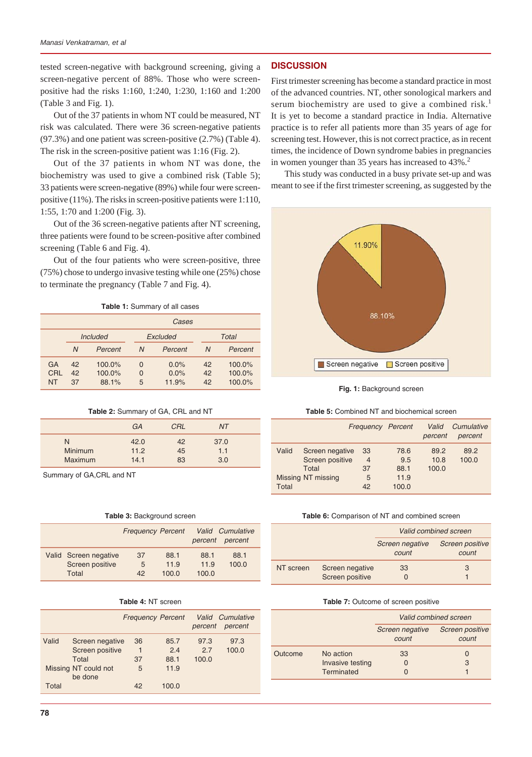tested screen-negative with background screening, giving a screen-negative percent of 88%. Those who were screenpositive had the risks 1:160, 1:240, 1:230, 1:160 and 1:200 (Table 3 and Fig. 1).

Out of the 37 patients in whom NT could be measured, NT risk was calculated. There were 36 screen-negative patients (97.3%) and one patient was screen-positive (2.7%) (Table 4). The risk in the screen-positive patient was 1:16 (Fig. 2).

Out of the 37 patients in whom NT was done, the biochemistry was used to give a combined risk (Table 5); 33 patients were screen-negative (89%) while four were screenpositive (11%). The risks in screen-positive patients were 1:110, 1:55, 1:70 and 1:200 (Fig. 3).

Out of the 36 screen-negative patients after NT screening, three patients were found to be screen-positive after combined screening (Table 6 and Fig. 4).

Out of the four patients who were screen-positive, three (75%) chose to undergo invasive testing while one (25%) chose to terminate the pregnancy (Table 7 and Fig. 4).

**Table 1:** Summary of all cases

|                 | Cases          |                                                           |             |                       |                |                            |
|-----------------|----------------|-----------------------------------------------------------|-------------|-----------------------|----------------|----------------------------|
|                 |                | <b>Total</b><br><i><u><b>Included</b></u></i><br>Excluded |             |                       |                |                            |
|                 | N              | Percent                                                   | N           | Percent               | $\overline{N}$ | Percent                    |
| GA<br>CRL<br>NT | 42<br>42<br>37 | $100.0\%$<br>100.0%<br>88.1%                              | 0<br>0<br>5 | 0.0%<br>0.0%<br>11.9% | 42<br>42<br>42 | 100.0%<br>100.0%<br>100.0% |

| Table 2: Summary of GA, CRL and NT |  |  |  |  |  |
|------------------------------------|--|--|--|--|--|
|------------------------------------|--|--|--|--|--|

|                | <b>GA</b> | CRL | ΝT   |  |
|----------------|-----------|-----|------|--|
| N              | 42.0      | 42  | 37.0 |  |
| <b>Minimum</b> | 11.2      | 45  | 1.1  |  |
| <b>Maximum</b> | 14.1      | 83  | 3.0  |  |

Summary of GA,CRL and NT

#### **Table 3:** Background screen

|                                                   | <b>Frequency Percent</b> |                       | percent               | <b>Valid</b> Cumulative<br>percent |
|---------------------------------------------------|--------------------------|-----------------------|-----------------------|------------------------------------|
| Valid Screen negative<br>Screen positive<br>Total | 37<br>5<br>42            | 88.1<br>11.9<br>100.0 | 88.1<br>11.9<br>100.0 | 88.1<br>100.0                      |

|  |  |  | <b>Table 4: NT screen</b> |
|--|--|--|---------------------------|
|--|--|--|---------------------------|

|       |                                             |               | <b>Frequency Percent</b> | percent              | Valid Cumulative<br>percent |
|-------|---------------------------------------------|---------------|--------------------------|----------------------|-----------------------------|
| Valid | Screen negative<br>Screen positive<br>Total | 36<br>1<br>37 | 85.7<br>2.4<br>88.1      | 97.3<br>2.7<br>100.0 | 97.3<br>100.0               |
|       | Missing NT could not<br>be done             | 5             | 11.9                     |                      |                             |
| Total |                                             | 42            | 100.0                    |                      |                             |

## **DISCUSSION**

First trimester screening has become a standard practice in most of the advanced countries. NT, other sonological markers and serum biochemistry are used to give a combined risk.<sup>1</sup> It is yet to become a standard practice in India. Alternative practice is to refer all patients more than 35 years of age for screening test. However, this is not correct practice, as in recent times, the incidence of Down syndrome babies in pregnancies in women younger than 35 years has increased to 43%.<sup>2</sup>

This study was conducted in a busy private set-up and was meant to see if the first trimester screening, as suggested by the



**Fig. 1:** Background screen

#### **Table 5:** Combined NT and biochemical screen

|                                                                                            | <b>Frequency Percent</b>              |                                      | Valid<br>percent      | Cumulative<br>percent |
|--------------------------------------------------------------------------------------------|---------------------------------------|--------------------------------------|-----------------------|-----------------------|
| Valid<br>Screen negative<br>Screen positive<br>Total<br>Missing NT missing<br><b>Total</b> | 33<br>$\overline{4}$<br>37<br>5<br>42 | 78.6<br>9.5<br>88.1<br>11.9<br>100.0 | 89.2<br>10.8<br>100.0 | 89.2<br>100.0         |

#### **Table 6:** Comparison of NT and combined screen

|           |                                    | Valid combined screen    |                          |  |
|-----------|------------------------------------|--------------------------|--------------------------|--|
|           |                                    | Screen negative<br>count | Screen positive<br>count |  |
| NT screen | Screen negative<br>Screen positive | 33                       | 3                        |  |

#### **Table 7:** Outcome of screen positive

|         |                                | Valid combined screen    |                          |  |
|---------|--------------------------------|--------------------------|--------------------------|--|
|         |                                | Screen negative<br>count | Screen positive<br>count |  |
| Outcome | No action                      | 33                       | 0                        |  |
|         | Invasive testing<br>Terminated | O<br>$\mathcal{L}$       | 3                        |  |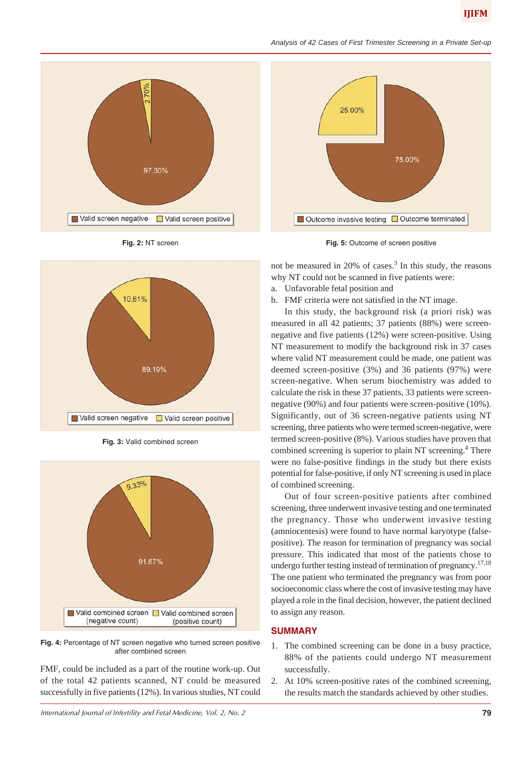



**Fig. 2:** NT screen



**Fig. 3:** Valid combined screen



**Fig. 4:** Percentage of NT screen negative who turned screen positive after combined screen

FMF, could be included as a part of the routine work-up. Out of the total 42 patients scanned, NT could be measured successfully in five patients (12%). In various studies, NT could





not be measured in 20% of cases.<sup>3</sup> In this study, the reasons why NT could not be scanned in five patients were:

- a. Unfavorable fetal position and
- b. FMF criteria were not satisfied in the NT image.

In this study, the background risk (a priori risk) was measured in all 42 patients; 37 patients (88%) were screennegative and five patients (12%) were screen-positive. Using NT measurement to modify the background risk in 37 cases where valid NT measurement could be made, one patient was deemed screen-positive (3%) and 36 patients (97%) were screen-negative. When serum biochemistry was added to calculate the risk in these 37 patients, 33 patients were screennegative (90%) and four patients were screen-positive (10%). Significantly, out of 36 screen-negative patients using NT screening, three patients who were termed screen-negative, were termed screen-positive (8%). Various studies have proven that combined screening is superior to plain NT screening.<sup>4</sup> There were no false-positive findings in the study but there exists potential for false-positive, if only NT screening is used in place of combined screening.

Out of four screen-positive patients after combined screening, three underwent invasive testing and one terminated the pregnancy. Those who underwent invasive testing (amniocentesis) were found to have normal karyotype (falsepositive). The reason for termination of pregnancy was social pressure. This indicated that most of the patients chose to undergo further testing instead of termination of pregnancy.<sup>17,18</sup> The one patient who terminated the pregnancy was from poor socioeconomic class where the cost of invasive testing may have played a role in the final decision, however, the patient declined to assign any reason.

## **SUMMARY**

- 1. The combined screening can be done in a busy practice, 88% of the patients could undergo NT measurement successfully.
- 2. At 10% screen-positive rates of the combined screening, the results match the standards achieved by other studies.